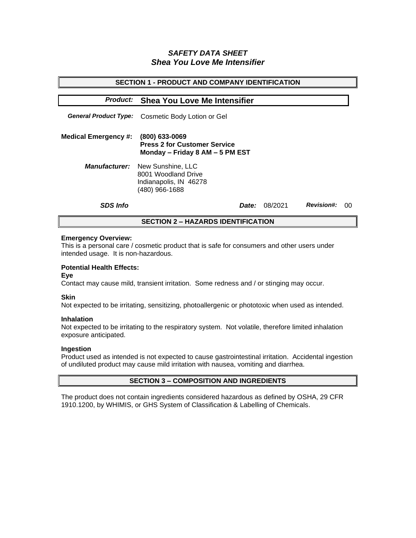# *SAFETY DATA SHEET Shea You Love Me Intensifier*

| <b>SECTION 1 - PRODUCT AND COMPANY IDENTIFICATION</b> |                                                                                                           |         |                   |     |  |
|-------------------------------------------------------|-----------------------------------------------------------------------------------------------------------|---------|-------------------|-----|--|
| <b>Product:</b>                                       | <b>Shea You Love Me Intensifier</b>                                                                       |         |                   |     |  |
|                                                       |                                                                                                           |         |                   |     |  |
|                                                       | <b>General Product Type:</b> Cosmetic Body Lotion or Gel                                                  |         |                   |     |  |
| <b>Medical Emergency #:</b>                           | $(800)$ 633-0069<br><b>Press 2 for Customer Service</b><br>Monday - Friday 8 AM - 5 PM EST                |         |                   |     |  |
|                                                       | <b>Manufacturer:</b> New Sunshine, LLC<br>8001 Woodland Drive<br>Indianapolis, IN 46278<br>(480) 966-1688 |         |                   |     |  |
| <b>SDS Info</b>                                       | <i>Date:</i>                                                                                              | 08/2021 | <b>Revision#:</b> | -00 |  |
| <b>SECTION 2 - HAZARDS IDENTIFICATION</b>             |                                                                                                           |         |                   |     |  |

### **Emergency Overview:**

This is a personal care / cosmetic product that is safe for consumers and other users under intended usage. It is non-hazardous.

## **Potential Health Effects:**

#### **Eye**

Contact may cause mild, transient irritation. Some redness and / or stinging may occur.

#### **Skin**

Not expected to be irritating, sensitizing, photoallergenic or phototoxic when used as intended.

#### **Inhalation**

Not expected to be irritating to the respiratory system. Not volatile, therefore limited inhalation exposure anticipated.

### **Ingestion**

Product used as intended is not expected to cause gastrointestinal irritation. Accidental ingestion of undiluted product may cause mild irritation with nausea, vomiting and diarrhea.

## **SECTION 3 – COMPOSITION AND INGREDIENTS**

The product does not contain ingredients considered hazardous as defined by OSHA, 29 CFR 1910.1200, by WHIMIS, or GHS System of Classification & Labelling of Chemicals.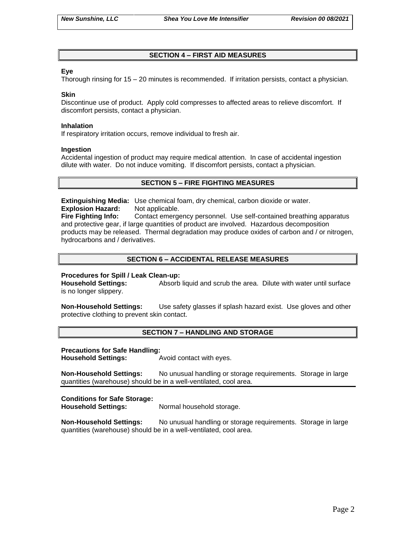## **SECTION 4 – FIRST AID MEASURES**

## **Eye**

Thorough rinsing for 15 – 20 minutes is recommended. If irritation persists, contact a physician.

#### **Skin**

Discontinue use of product. Apply cold compresses to affected areas to relieve discomfort. If discomfort persists, contact a physician.

#### **Inhalation**

If respiratory irritation occurs, remove individual to fresh air.

#### **Ingestion**

Accidental ingestion of product may require medical attention. In case of accidental ingestion dilute with water. Do not induce vomiting. If discomfort persists, contact a physician.

### **SECTION 5 – FIRE FIGHTING MEASURES**

**Extinguishing Media:** Use chemical foam, dry chemical, carbon dioxide or water. **Explosion Hazard:** Not applicable.

**Fire Fighting Info:** Contact emergency personnel. Use self-contained breathing apparatus and protective gear, if large quantities of product are involved. Hazardous decomposition products may be released. Thermal degradation may produce oxides of carbon and / or nitrogen, hydrocarbons and / derivatives.

## **SECTION 6 – ACCIDENTAL RELEASE MEASURES**

### **Procedures for Spill / Leak Clean-up:**

**Household Settings:** Absorb liquid and scrub the area. Dilute with water until surface is no longer slippery.

**Non-Household Settings:** Use safety glasses if splash hazard exist. Use gloves and other protective clothing to prevent skin contact.

### **SECTION 7 – HANDLING AND STORAGE**

**Precautions for Safe Handling:**

**Household Settings:** Avoid contact with eyes.

**Non-Household Settings:** No unusual handling or storage requirements. Storage in large quantities (warehouse) should be in a well-ventilated, cool area.

### **Conditions for Safe Storage:**

**Household Settings:** Normal household storage.

**Non-Household Settings:** No unusual handling or storage requirements. Storage in large quantities (warehouse) should be in a well-ventilated, cool area.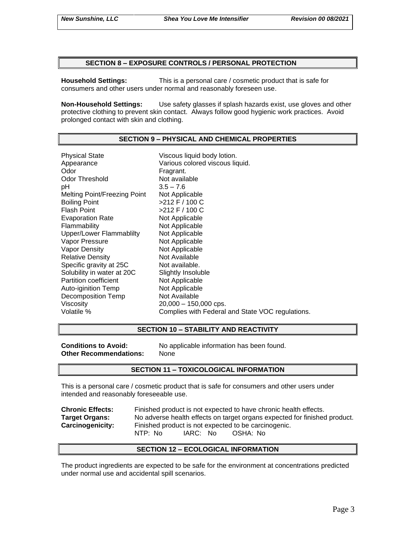#### **SECTION 8 – EXPOSURE CONTROLS / PERSONAL PROTECTION**

**Household Settings:** This is a personal care / cosmetic product that is safe for consumers and other users under normal and reasonably foreseen use.

**Non-Household Settings:** Use safety glasses if splash hazards exist, use gloves and other protective clothing to prevent skin contact. Always follow good hygienic work practices. Avoid prolonged contact with skin and clothing.

#### **SECTION 9 – PHYSICAL AND CHEMICAL PROPERTIES**

Physical State Viscous liquid body lotion. Appearance Various colored viscous liquid. Odor **Fragrant.** Odor Threshold Not available pH 3.5 – 7.6 Melting Point/Freezing Point Not Applicable Boiling Point >212 F / 100 C Flash Point >212 F / 100 C Evaporation Rate Not Applicable Flammability Not Applicable Upper/Lower Flammablilty Not Applicable Vapor Pressure Not Applicable Vapor Density Not Applicable Relative Density Not Available Specific gravity at 25C Not available. Solubility in water at 20C Slightly Insoluble Partition coefficient<br>
Auto-iginition Temp
Not Applicable Auto-iginition Temp Decomposition Temp Not Available Viscosity 20,000 – 150,000 cps. Volatile % Complies with Federal and State VOC regulations.

#### **SECTION 10 – STABILITY AND REACTIVITY**

**Other Recommendations:** None

**Conditions to Avoid:** No applicable information has been found.

#### **SECTION 11 – TOXICOLOGICAL INFORMATION**

This is a personal care / cosmetic product that is safe for consumers and other users under intended and reasonably foreseeable use.

**Chronic Effects:** Finished product is not expected to have chronic health effects. **Target Organs:** No adverse health effects on target organs expected for finished product. **Carcinogenicity:** Finished product is not expected to be carcinogenic. NTP: No IARC: No OSHA: No

### **SECTION 12 – ECOLOGICAL INFORMATION**

The product ingredients are expected to be safe for the environment at concentrations predicted under normal use and accidental spill scenarios.